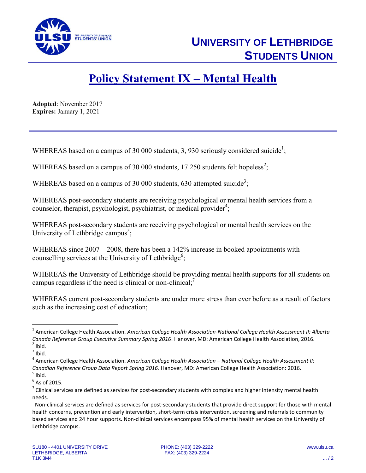

## **Policy Statement IX – Mental Health**

**Adopted**: November 2017 **Expires:** January 1, 2021

WHEREAS based on a campus of 30 000 students, 3, 930 seriously considered suicide<sup>1</sup>;

WHEREAS based on a campus of 30 000 students, 17 250 students felt hopeless<sup>2</sup>;

WHEREAS based on a campus of 30 000 students, 630 attempted suicide<sup>3</sup>;

WHEREAS post-secondary students are receiving psychological or mental health services from a counselor, therapist, psychologist, psychiatrist, or medical provider<sup>4</sup>;

WHEREAS post-secondary students are receiving psychological or mental health services on the University of Lethbridge campus<sup>5</sup>;

WHEREAS since  $2007 - 2008$ , there has been a 142% increase in booked appointments with counselling services at the University of Lethbridge<sup>6</sup>;

WHEREAS the University of Lethbridge should be providing mental health supports for all students on campus regardless if the need is clinical or non-clinical;<sup>7</sup>

WHEREAS current post-secondary students are under more stress than ever before as a result of factors such as the increasing cost of education;

 $\overline{\phantom{a}}$ 

<sup>&</sup>lt;sup>1</sup> American College Health Association. American College Health Association-National College Health Assessment II: Alberta *Canada Reference Group Executive Summary Spring 2016*. Hanover, MD: American College Health Association, 2016.  $<sup>2</sup>$  Ibid.</sup>

 $3$  Ibid.

<sup>4</sup> American College Health Association. *American College Health Association – National College Health Assessment II: Canadian Reference Group Data Report Spring 2016*. Hanover, MD: American College Health Association: 2016.  $<sup>5</sup>$  Ibid.</sup>

 $<sup>6</sup>$  As of 2015.</sup>

 $^7$  Clinical services are defined as services for post-secondary students with complex and higher intensity mental health needs.

Non-clinical services are defined as services for post-secondary students that provide direct support for those with mental health concerns, prevention and early intervention, short-term crisis intervention, screening and referrals to community based services and 24 hour supports. Non-clinical services encompass 95% of mental health services on the University of Lethbridge campus.